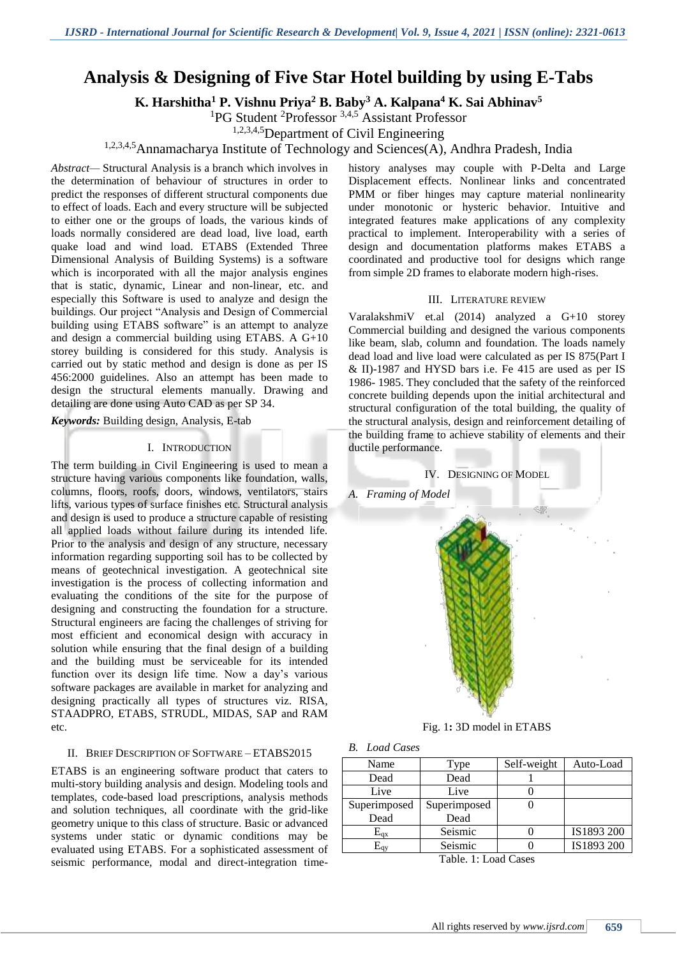# **Analysis & Designing of Five Star Hotel building by using E-Tabs**

**K. Harshitha<sup>1</sup> P. Vishnu Priya<sup>2</sup> B. Baby<sup>3</sup> A. Kalpana<sup>4</sup> K. Sai Abhinav<sup>5</sup>**

<sup>1</sup>PG Student <sup>2</sup>Professor<sup>3,4,5</sup> Assistant Professor

1,2,3,4,5Department of Civil Engineering

1,2,3,4,5Annamacharya Institute of Technology and Sciences(A), Andhra Pradesh, India

*Abstract—* Structural Analysis is a branch which involves in the determination of behaviour of structures in order to predict the responses of different structural components due to effect of loads. Each and every structure will be subjected to either one or the groups of loads, the various kinds of loads normally considered are dead load, live load, earth quake load and wind load. ETABS (Extended Three Dimensional Analysis of Building Systems) is a software which is incorporated with all the major analysis engines that is static, dynamic, Linear and non-linear, etc. and especially this Software is used to analyze and design the buildings. Our project "Analysis and Design of Commercial building using ETABS software" is an attempt to analyze and design a commercial building using ETABS. A G+10 storey building is considered for this study. Analysis is carried out by static method and design is done as per IS 456:2000 guidelines. Also an attempt has been made to design the structural elements manually. Drawing and detailing are done using Auto CAD as per SP 34.

*Keywords:* Building design, Analysis, E-tab

## I. INTRODUCTION

The term building in Civil Engineering is used to mean a structure having various components like foundation, walls, columns, floors, roofs, doors, windows, ventilators, stairs lifts, various types of surface finishes etc. Structural analysis and design is used to produce a structure capable of resisting all applied loads without failure during its intended life. Prior to the analysis and design of any structure, necessary information regarding supporting soil has to be collected by means of geotechnical investigation. A geotechnical site investigation is the process of collecting information and evaluating the conditions of the site for the purpose of designing and constructing the foundation for a structure. Structural engineers are facing the challenges of striving for most efficient and economical design with accuracy in solution while ensuring that the final design of a building and the building must be serviceable for its intended function over its design life time. Now a day's various software packages are available in market for analyzing and designing practically all types of structures viz. RISA, STAADPRO, ETABS, STRUDL, MIDAS, SAP and RAM etc.

## II. BRIEF DESCRIPTION OF SOFTWARE – ETABS2015

ETABS is an engineering software product that caters to multi-story building analysis and design. Modeling tools and templates, code-based load prescriptions, analysis methods and solution techniques, all coordinate with the grid-like geometry unique to this class of structure. Basic or advanced systems under static or dynamic conditions may be evaluated using ETABS. For a sophisticated assessment of seismic performance, modal and direct-integration time-

history analyses may couple with P-Delta and Large Displacement effects. Nonlinear links and concentrated PMM or fiber hinges may capture material nonlinearity under monotonic or hysteric behavior. Intuitive and integrated features make applications of any complexity practical to implement. Interoperability with a series of design and documentation platforms makes ETABS a coordinated and productive tool for designs which range from simple 2D frames to elaborate modern high-rises.

#### III. LITERATURE REVIEW

VaralakshmiV et.al (2014) analyzed a G+10 storey Commercial building and designed the various components like beam, slab, column and foundation. The loads namely dead load and live load were calculated as per IS 875(Part I & II)-1987 and HYSD bars i.e. Fe 415 are used as per IS 1986- 1985. They concluded that the safety of the reinforced concrete building depends upon the initial architectural and structural configuration of the total building, the quality of the structural analysis, design and reinforcement detailing of the building frame to achieve stability of elements and their ductile performance.



Fig. 1**:** 3D model in ETABS

| <b>B.</b> Load Cases |  |
|----------------------|--|
|                      |  |

| Name                   | Type         | Self-weight | Auto-Load  |  |  |  |
|------------------------|--------------|-------------|------------|--|--|--|
| Dead                   | Dead         |             |            |  |  |  |
| Live                   | Live         |             |            |  |  |  |
| Superimposed           | Superimposed |             |            |  |  |  |
| Dead                   | Dead         |             |            |  |  |  |
| $E_{qx}$               | Seismic      |             | IS1893 200 |  |  |  |
| $\rm E_{av}$           | Seismic      |             | IS1893 200 |  |  |  |
| $Table 1.1$ and $Case$ |              |             |            |  |  |  |

Table. 1: Load Cases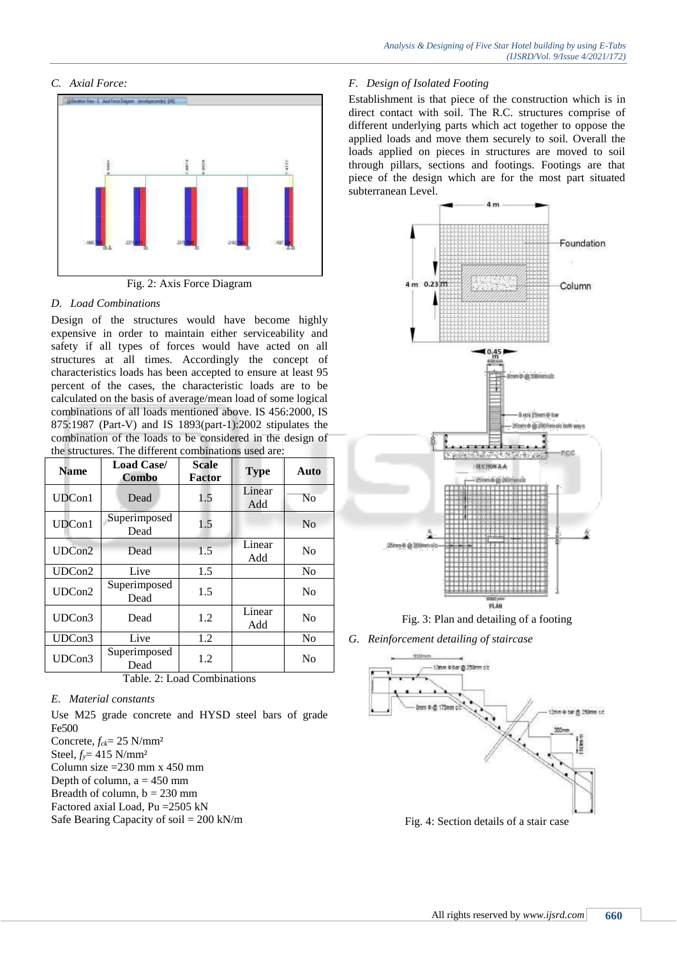## *C. Axial Force:*



Fig. 2: Axis Force Diagram

## *D. Load Combinations*

Design of the structures would have become highly expensive in order to maintain either serviceability and safety if all types of forces would have acted on all structures at all times. Accordingly the concept of characteristics loads has been accepted to ensure at least 95 percent of the cases, the characteristic loads are to be calculated on the basis of average/mean load of some logical combinations of all loads mentioned above. IS 456:2000, IS 875:1987 (Part-V) and IS 1893(part-1):2002 stipulates the combination of the loads to be considered in the design of the structures. The different combinations used are:

| <b>Name</b> | <b>Load Case/</b><br>Combo | <b>Scale</b><br><b>Factor</b> | <b>Type</b>   | Auto           |
|-------------|----------------------------|-------------------------------|---------------|----------------|
| UDCon1      | Dead                       | 1.5                           | Linear<br>Add | No             |
| UDCon1      | Superimposed<br>Dead       | 1.5                           |               | N <sub>0</sub> |
| UDCon2      | Dead                       | 1.5                           | Linear<br>Add | N <sub>0</sub> |
| UDCon2      | Live                       | 1.5                           |               | N <sub>0</sub> |
| UDCon2      | Superimposed<br>Dead       | 1.5                           |               | No             |
| UDCon3      | Dead                       | 1.2                           | Linear<br>Add | N <sub>0</sub> |
| UDCon3      | Live                       | 1.2                           |               | N <sub>0</sub> |
| UDCon3      | Superimposed<br>Dead       | 1.2                           |               | N <sub>o</sub> |

Table. 2: Load Combinations

## *E. Material constants*

Use M25 grade concrete and HYSD steel bars of grade Fe500 Concrete, *fck*= 25 N/mm² Steel, *fy*= 415 N/mm² Column size  $=230$  mm x 450 mm Depth of column,  $a = 450$  mm Breadth of column,  $b = 230$  mm

Factored axial Load, Pu =2505 kN

Safe Bearing Capacity of soil = 200 kN/m

## *F. Design of Isolated Footing*

Establishment is that piece of the construction which is in direct contact with soil. The R.C. structures comprise of different underlying parts which act together to oppose the applied loads and move them securely to soil. Overall the loads applied on pieces in structures are moved to soil through pillars, sections and footings. Footings are that piece of the design which are for the most part situated subterranean Level.



Fig. 3: Plan and detailing of a footing

*G. Reinforcement detailing of staircase*